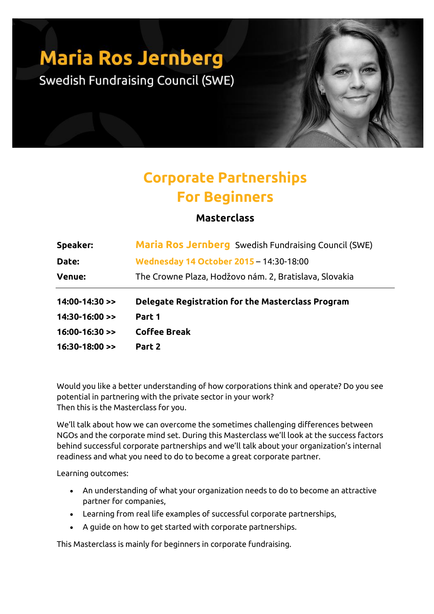## **Maria Ros Jernberg**

Swedish Fundraising Council (SWE)

## **Corporate Partnerships For Beginners**

## **Masterclass**

| Speaker:         | Maria Ros Jernberg Swedish Fundraising Council (SWE)   |
|------------------|--------------------------------------------------------|
| Date:            | Wednesday 14 October 2015 - 14:30-18:00                |
| <b>Venue:</b>    | The Crowne Plaza, Hodžovo nám. 2, Bratislava, Slovakia |
|                  |                                                        |
| $14:00-14:30$ >> | Delegate Registration for the Masterclass Program      |
| $14:30-16:00$ >> | Part 1                                                 |
| $16:00-16:30$ >> | <b>Coffee Break</b>                                    |

Would you like a better understanding of how corporations think and operate? Do you see potential in partnering with the private sector in your work? Then this is the Masterclass for you.

We'll talk about how we can overcome the sometimes challenging differences between NGOs and the corporate mind set. During this Masterclass we'll look at the success factors behind successful corporate partnerships and we'll talk about your organization's internal readiness and what you need to do to become a great corporate partner.

Learning outcomes:

- An understanding of what your organization needs to do to become an attractive partner for companies,
- Learning from real life examples of successful corporate partnerships,
- A guide on how to get started with corporate partnerships.

This Masterclass is mainly for beginners in corporate fundraising.